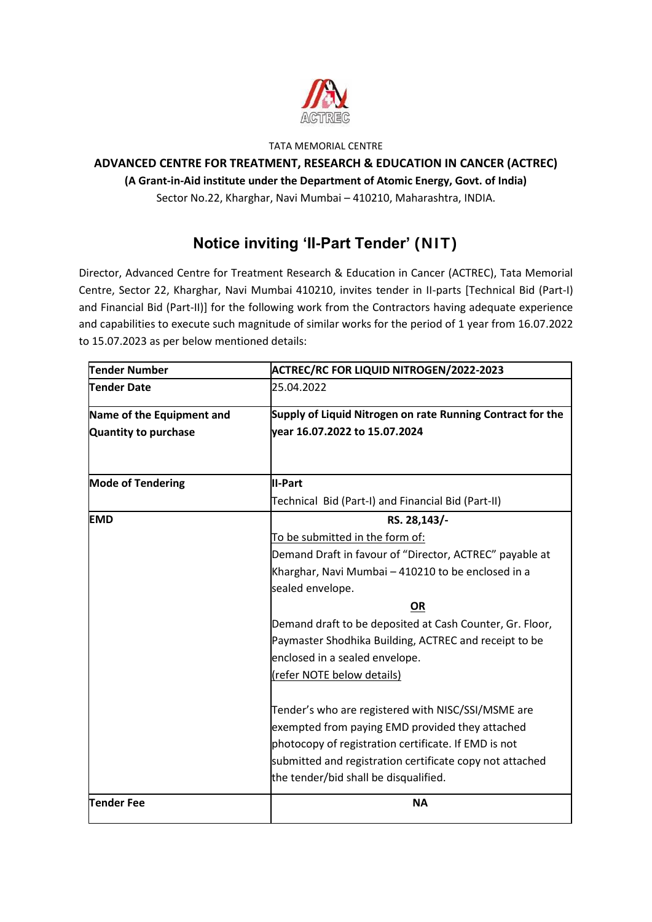

#### TATA MEMORIAL CENTRE

# **ADVANCED CENTRE FOR TREATMENT, RESEARCH & EDUCATION IN CANCER (ACTREC) (A Grant-in-Aid institute under the Department of Atomic Energy, Govt. of India)**

Sector No.22, Kharghar, Navi Mumbai – 410210, Maharashtra, INDIA.

# **Notice inviting 'II-Part Tender' (NIT)**

Director, Advanced Centre for Treatment Research & Education in Cancer (ACTREC), Tata Memorial Centre, Sector 22, Kharghar, Navi Mumbai 410210, invites tender in II-parts [Technical Bid (Part-I) and Financial Bid (Part-II)] for the following work from the Contractors having adequate experience and capabilities to execute such magnitude of similar works for the period of 1 year from 16.07.2022 to 15.07.2023 as per below mentioned details:

| Tender Number             | <b>ACTREC/RC FOR LIQUID NITROGEN/2022-2023</b>             |  |  |
|---------------------------|------------------------------------------------------------|--|--|
| <b>Tender Date</b>        | 25.04.2022                                                 |  |  |
| Name of the Equipment and | Supply of Liquid Nitrogen on rate Running Contract for the |  |  |
| Quantity to purchase      | year 16.07.2022 to 15.07.2024                              |  |  |
|                           |                                                            |  |  |
| <b>Mode of Tendering</b>  | <b>II-Part</b>                                             |  |  |
|                           | Technical Bid (Part-I) and Financial Bid (Part-II)         |  |  |
| <b>EMD</b>                | RS. 28,143/-                                               |  |  |
|                           | To be submitted in the form of:                            |  |  |
|                           | Demand Draft in favour of "Director, ACTREC" payable at    |  |  |
|                           | Kharghar, Navi Mumbai - 410210 to be enclosed in a         |  |  |
|                           | sealed envelope.                                           |  |  |
|                           | OR                                                         |  |  |
|                           | Demand draft to be deposited at Cash Counter, Gr. Floor,   |  |  |
|                           | Paymaster Shodhika Building, ACTREC and receipt to be      |  |  |
|                           | enclosed in a sealed envelope.                             |  |  |
|                           | (refer NOTE below details)                                 |  |  |
|                           | Tender's who are registered with NISC/SSI/MSME are         |  |  |
|                           | exempted from paying EMD provided they attached            |  |  |
|                           | photocopy of registration certificate. If EMD is not       |  |  |
|                           | submitted and registration certificate copy not attached   |  |  |
|                           | the tender/bid shall be disqualified.                      |  |  |
| Tender Fee                | <b>NA</b>                                                  |  |  |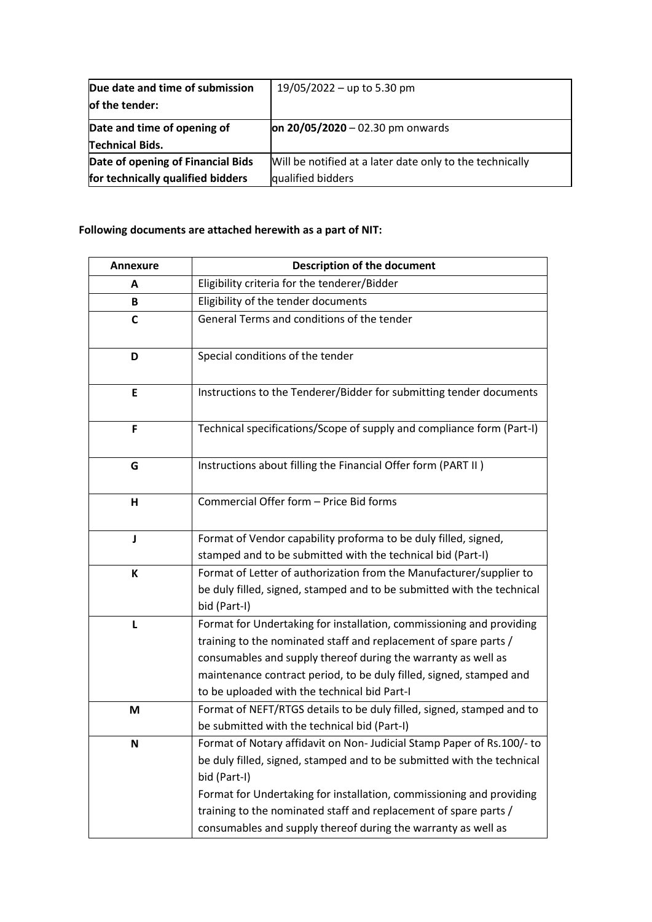| Due date and time of submission   | 19/05/2022 - up to 5.30 pm                               |  |
|-----------------------------------|----------------------------------------------------------|--|
| of the tender:                    |                                                          |  |
| Date and time of opening of       | $\pi$ 20/05/2020 – 02.30 pm onwards                      |  |
| <b>Technical Bids.</b>            |                                                          |  |
| Date of opening of Financial Bids | Will be notified at a later date only to the technically |  |
| for technically qualified bidders | qualified bidders                                        |  |

## **Following documents are attached herewith as a part of NIT:**

| <b>Annexure</b> | <b>Description of the document</b>                                                                                                                                                                                                                                                                                                                                            |  |  |
|-----------------|-------------------------------------------------------------------------------------------------------------------------------------------------------------------------------------------------------------------------------------------------------------------------------------------------------------------------------------------------------------------------------|--|--|
| A               | Eligibility criteria for the tenderer/Bidder                                                                                                                                                                                                                                                                                                                                  |  |  |
| B               | Eligibility of the tender documents                                                                                                                                                                                                                                                                                                                                           |  |  |
| C               | General Terms and conditions of the tender                                                                                                                                                                                                                                                                                                                                    |  |  |
| D               | Special conditions of the tender                                                                                                                                                                                                                                                                                                                                              |  |  |
| E               | Instructions to the Tenderer/Bidder for submitting tender documents                                                                                                                                                                                                                                                                                                           |  |  |
| F               | Technical specifications/Scope of supply and compliance form (Part-I)                                                                                                                                                                                                                                                                                                         |  |  |
| G               | Instructions about filling the Financial Offer form (PART II)                                                                                                                                                                                                                                                                                                                 |  |  |
| н               | Commercial Offer form - Price Bid forms                                                                                                                                                                                                                                                                                                                                       |  |  |
| J               | Format of Vendor capability proforma to be duly filled, signed,<br>stamped and to be submitted with the technical bid (Part-I)                                                                                                                                                                                                                                                |  |  |
| К               | Format of Letter of authorization from the Manufacturer/supplier to<br>be duly filled, signed, stamped and to be submitted with the technical<br>bid (Part-I)                                                                                                                                                                                                                 |  |  |
| L               | Format for Undertaking for installation, commissioning and providing<br>training to the nominated staff and replacement of spare parts /<br>consumables and supply thereof during the warranty as well as<br>maintenance contract period, to be duly filled, signed, stamped and<br>to be uploaded with the technical bid Part-I                                              |  |  |
| M               | Format of NEFT/RTGS details to be duly filled, signed, stamped and to<br>be submitted with the technical bid (Part-I)                                                                                                                                                                                                                                                         |  |  |
| N               | Format of Notary affidavit on Non- Judicial Stamp Paper of Rs.100/- to<br>be duly filled, signed, stamped and to be submitted with the technical<br>bid (Part-I)<br>Format for Undertaking for installation, commissioning and providing<br>training to the nominated staff and replacement of spare parts /<br>consumables and supply thereof during the warranty as well as |  |  |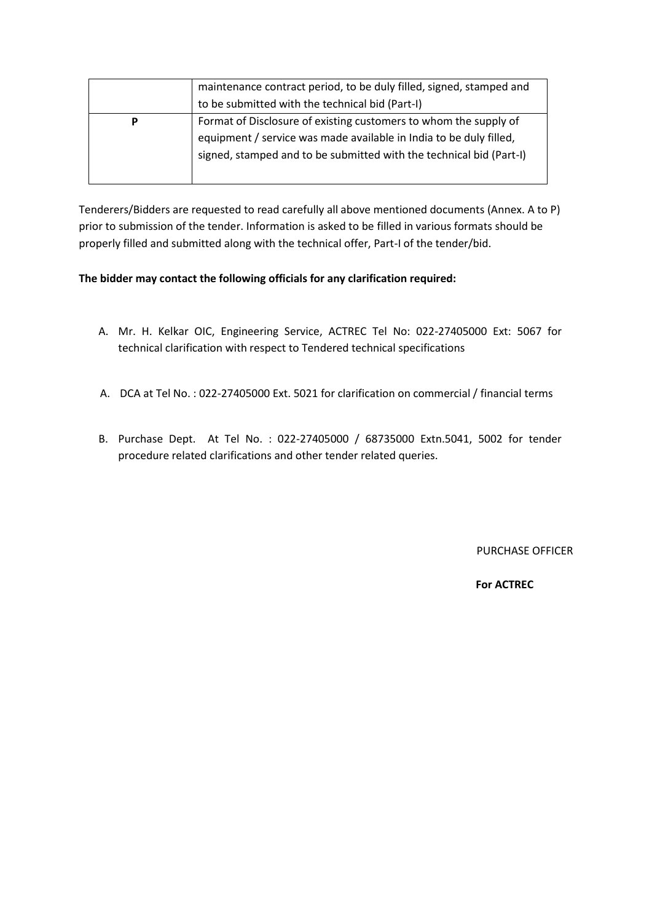|   | maintenance contract period, to be duly filled, signed, stamped and<br>to be submitted with the technical bid (Part-I)                                                                                        |
|---|---------------------------------------------------------------------------------------------------------------------------------------------------------------------------------------------------------------|
| P | Format of Disclosure of existing customers to whom the supply of<br>equipment / service was made available in India to be duly filled,<br>signed, stamped and to be submitted with the technical bid (Part-I) |

Tenderers/Bidders are requested to read carefully all above mentioned documents (Annex. A to P) prior to submission of the tender. Information is asked to be filled in various formats should be properly filled and submitted along with the technical offer, Part-I of the tender/bid.

## **The bidder may contact the following officials for any clarification required:**

- A. Mr. H. Kelkar OIC, Engineering Service, ACTREC Tel No: 022-27405000 Ext: 5067 for technical clarification with respect to Tendered technical specifications
- A. DCA at Tel No. : 022-27405000 Ext. 5021 for clarification on commercial / financial terms
- B. Purchase Dept. At Tel No. : 022-27405000 / 68735000 Extn.5041, 5002 for tender procedure related clarifications and other tender related queries.

PURCHASE OFFICER

#### **For ACTREC**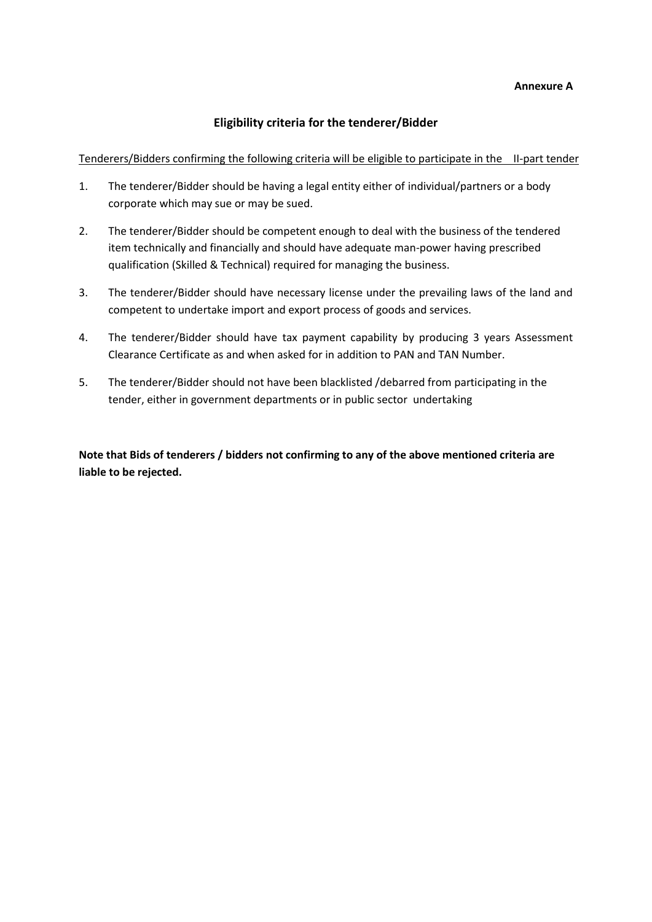#### **Annexure A**

## **Eligibility criteria for the tenderer/Bidder**

Tenderers/Bidders confirming the following criteria will be eligible to participate in the II-part tender

- 1. The tenderer/Bidder should be having a legal entity either of individual/partners or a body corporate which may sue or may be sued.
- 2. The tenderer/Bidder should be competent enough to deal with the business of the tendered item technically and financially and should have adequate man-power having prescribed qualification (Skilled & Technical) required for managing the business.
- 3. The tenderer/Bidder should have necessary license under the prevailing laws of the land and competent to undertake import and export process of goods and services.
- 4. The tenderer/Bidder should have tax payment capability by producing 3 years Assessment Clearance Certificate as and when asked for in addition to PAN and TAN Number.
- 5. The tenderer/Bidder should not have been blacklisted /debarred from participating in the tender, either in government departments or in public sector undertaking

**Note that Bids of tenderers / bidders not confirming to any of the above mentioned criteria are liable to be rejected.**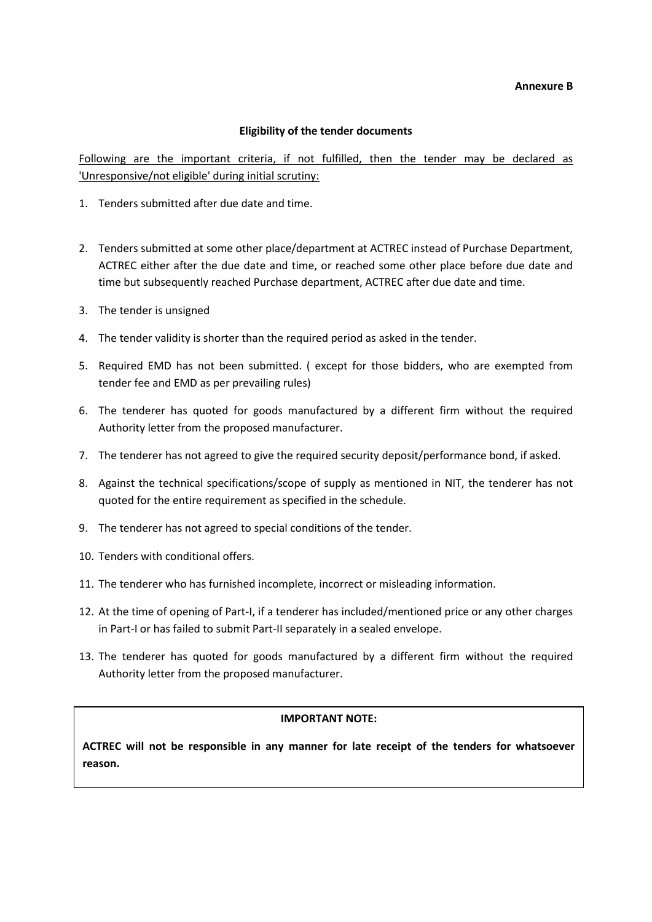#### **Annexure B**

#### **Eligibility of the tender documents**

Following are the important criteria, if not fulfilled, then the tender may be declared as 'Unresponsive/not eligible' during initial scrutiny:

- 1. Tenders submitted after due date and time.
- 2. Tenders submitted at some other place/department at ACTREC instead of Purchase Department, ACTREC either after the due date and time, or reached some other place before due date and time but subsequently reached Purchase department, ACTREC after due date and time.
- 3. The tender is unsigned
- 4. The tender validity is shorter than the required period as asked in the tender.
- 5. Required EMD has not been submitted. ( except for those bidders, who are exempted from tender fee and EMD as per prevailing rules)
- 6. The tenderer has quoted for goods manufactured by a different firm without the required Authority letter from the proposed manufacturer.
- 7. The tenderer has not agreed to give the required security deposit/performance bond, if asked.
- 8. Against the technical specifications/scope of supply as mentioned in NIT, the tenderer has not quoted for the entire requirement as specified in the schedule.
- 9. The tenderer has not agreed to special conditions of the tender.
- 10. Tenders with conditional offers.
- 11. The tenderer who has furnished incomplete, incorrect or misleading information.
- 12. At the time of opening of Part-I, if a tenderer has included/mentioned price or any other charges in Part-I or has failed to submit Part-II separately in a sealed envelope.
- 13. The tenderer has quoted for goods manufactured by a different firm without the required Authority letter from the proposed manufacturer.

#### **IMPORTANT NOTE:**

**ACTREC will not be responsible in any manner for late receipt of the tenders for whatsoever reason.**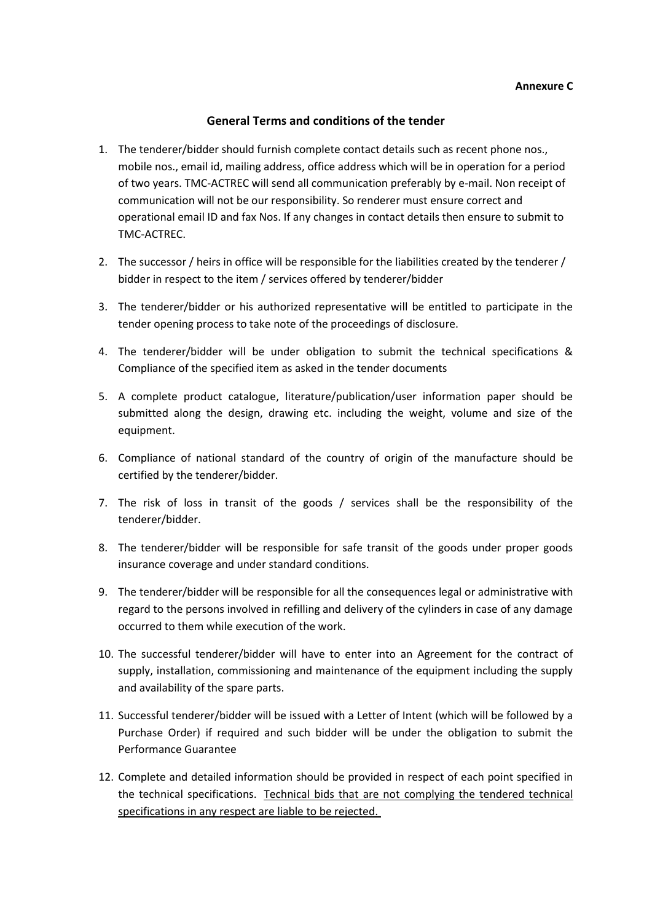## **General Terms and conditions of the tender**

- 1. The tenderer/bidder should furnish complete contact details such as recent phone nos., mobile nos., email id, mailing address, office address which will be in operation for a period of two years. TMC-ACTREC will send all communication preferably by e-mail. Non receipt of communication will not be our responsibility. So renderer must ensure correct and operational email ID and fax Nos. If any changes in contact details then ensure to submit to TMC-ACTREC.
- 2. The successor / heirs in office will be responsible for the liabilities created by the tenderer / bidder in respect to the item / services offered by tenderer/bidder
- 3. The tenderer/bidder or his authorized representative will be entitled to participate in the tender opening process to take note of the proceedings of disclosure.
- 4. The tenderer/bidder will be under obligation to submit the technical specifications & Compliance of the specified item as asked in the tender documents
- 5. A complete product catalogue, literature/publication/user information paper should be submitted along the design, drawing etc. including the weight, volume and size of the equipment.
- 6. Compliance of national standard of the country of origin of the manufacture should be certified by the tenderer/bidder.
- 7. The risk of loss in transit of the goods / services shall be the responsibility of the tenderer/bidder.
- 8. The tenderer/bidder will be responsible for safe transit of the goods under proper goods insurance coverage and under standard conditions.
- 9. The tenderer/bidder will be responsible for all the consequences legal or administrative with regard to the persons involved in refilling and delivery of the cylinders in case of any damage occurred to them while execution of the work.
- 10. The successful tenderer/bidder will have to enter into an Agreement for the contract of supply, installation, commissioning and maintenance of the equipment including the supply and availability of the spare parts.
- 11. Successful tenderer/bidder will be issued with a Letter of Intent (which will be followed by a Purchase Order) if required and such bidder will be under the obligation to submit the Performance Guarantee
- 12. Complete and detailed information should be provided in respect of each point specified in the technical specifications. Technical bids that are not complying the tendered technical specifications in any respect are liable to be rejected.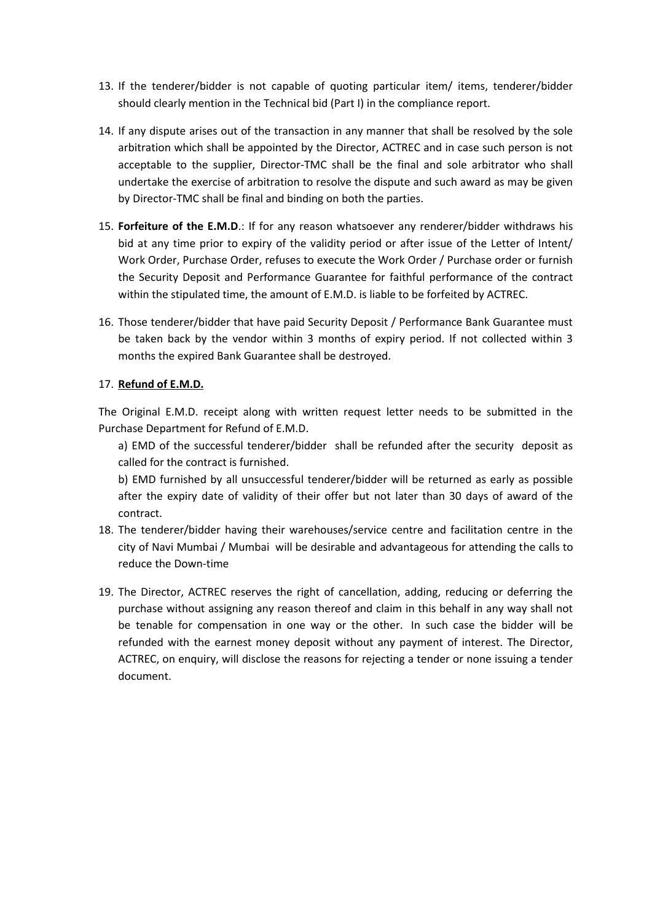- 13. If the tenderer/bidder is not capable of quoting particular item/ items, tenderer/bidder should clearly mention in the Technical bid (Part I) in the compliance report.
- 14. If any dispute arises out of the transaction in any manner that shall be resolved by the sole arbitration which shall be appointed by the Director, ACTREC and in case such person is not acceptable to the supplier, Director-TMC shall be the final and sole arbitrator who shall undertake the exercise of arbitration to resolve the dispute and such award as may be given by Director-TMC shall be final and binding on both the parties.
- 15. **Forfeiture of the E.M.D**.: If for any reason whatsoever any renderer/bidder withdraws his bid at any time prior to expiry of the validity period or after issue of the Letter of Intent/ Work Order, Purchase Order, refuses to execute the Work Order / Purchase order or furnish the Security Deposit and Performance Guarantee for faithful performance of the contract within the stipulated time, the amount of E.M.D. is liable to be forfeited by ACTREC.
- 16. Those tenderer/bidder that have paid Security Deposit / Performance Bank Guarantee must be taken back by the vendor within 3 months of expiry period. If not collected within 3 months the expired Bank Guarantee shall be destroyed.

## 17. **Refund of E.M.D.**

The Original E.M.D. receipt along with written request letter needs to be submitted in the Purchase Department for Refund of E.M.D.

a) EMD of the successful tenderer/bidder shall be refunded after the security deposit as called for the contract is furnished.

b) EMD furnished by all unsuccessful tenderer/bidder will be returned as early as possible after the expiry date of validity of their offer but not later than 30 days of award of the contract.

- 18. The tenderer/bidder having their warehouses/service centre and facilitation centre in the city of Navi Mumbai / Mumbai will be desirable and advantageous for attending the calls to reduce the Down-time
- 19. The Director, ACTREC reserves the right of cancellation, adding, reducing or deferring the purchase without assigning any reason thereof and claim in this behalf in any way shall not be tenable for compensation in one way or the other. In such case the bidder will be refunded with the earnest money deposit without any payment of interest. The Director, ACTREC, on enquiry, will disclose the reasons for rejecting a tender or none issuing a tender document.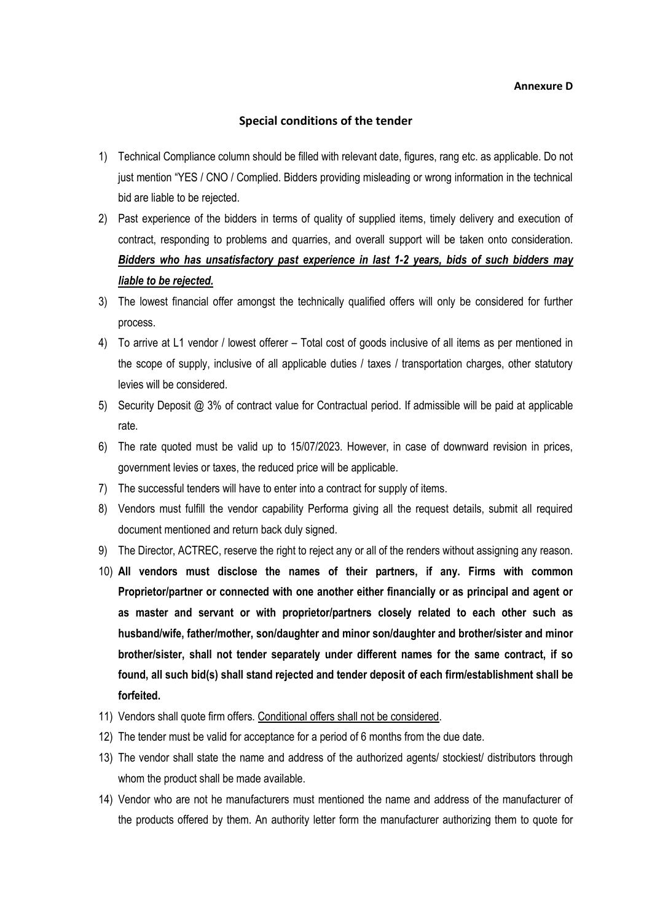#### **Special conditions of the tender**

- 1) Technical Compliance column should be filled with relevant date, figures, rang etc. as applicable. Do not just mention "YES / CNO / Complied. Bidders providing misleading or wrong information in the technical bid are liable to be rejected.
- 2) Past experience of the bidders in terms of quality of supplied items, timely delivery and execution of contract, responding to problems and quarries, and overall support will be taken onto consideration. *Bidders who has unsatisfactory past experience in last 1-2 years, bids of such bidders may liable to be rejected.*
- 3) The lowest financial offer amongst the technically qualified offers will only be considered for further process.
- 4) To arrive at L1 vendor / lowest offerer Total cost of goods inclusive of all items as per mentioned in the scope of supply, inclusive of all applicable duties / taxes / transportation charges, other statutory levies will be considered.
- 5) Security Deposit @ 3% of contract value for Contractual period. If admissible will be paid at applicable rate.
- 6) The rate quoted must be valid up to 15/07/2023. However, in case of downward revision in prices, government levies or taxes, the reduced price will be applicable.
- 7) The successful tenders will have to enter into a contract for supply of items.
- 8) Vendors must fulfill the vendor capability Performa giving all the request details, submit all required document mentioned and return back duly signed.
- 9) The Director, ACTREC, reserve the right to reject any or all of the renders without assigning any reason.
- 10) **All vendors must disclose the names of their partners, if any. Firms with common Proprietor/partner or connected with one another either financially or as principal and agent or as master and servant or with proprietor/partners closely related to each other such as husband/wife, father/mother, son/daughter and minor son/daughter and brother/sister and minor brother/sister, shall not tender separately under different names for the same contract, if so found, all such bid(s) shall stand rejected and tender deposit of each firm/establishment shall be forfeited.**
- 11) Vendors shall quote firm offers. Conditional offers shall not be considered.
- 12) The tender must be valid for acceptance for a period of 6 months from the due date.
- 13) The vendor shall state the name and address of the authorized agents/ stockiest/ distributors through whom the product shall be made available.
- 14) Vendor who are not he manufacturers must mentioned the name and address of the manufacturer of the products offered by them. An authority letter form the manufacturer authorizing them to quote for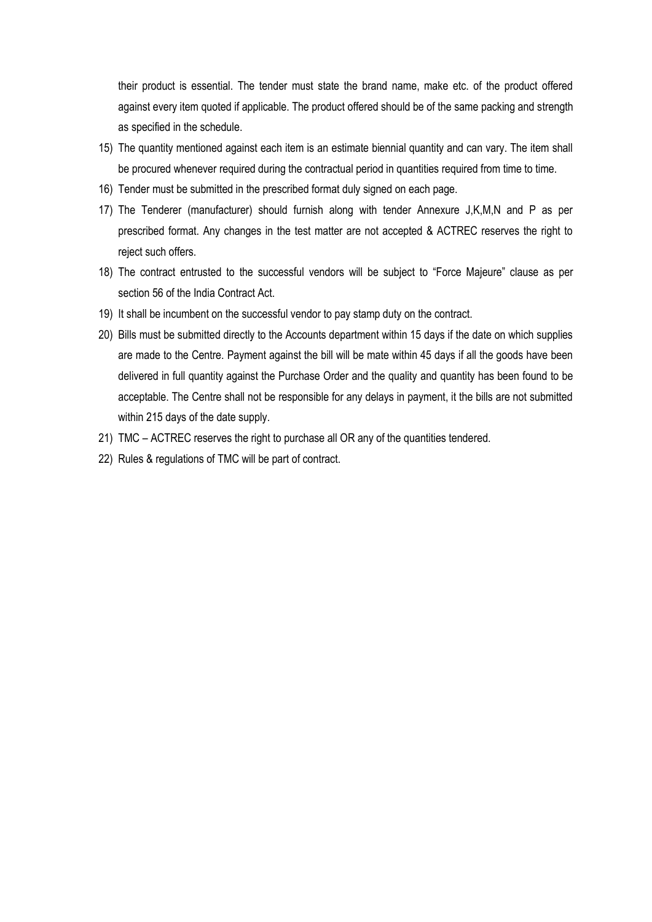their product is essential. The tender must state the brand name, make etc. of the product offered against every item quoted if applicable. The product offered should be of the same packing and strength as specified in the schedule.

- 15) The quantity mentioned against each item is an estimate biennial quantity and can vary. The item shall be procured whenever required during the contractual period in quantities required from time to time.
- 16) Tender must be submitted in the prescribed format duly signed on each page.
- 17) The Tenderer (manufacturer) should furnish along with tender Annexure J,K,M,N and P as per prescribed format. Any changes in the test matter are not accepted & ACTREC reserves the right to reject such offers.
- 18) The contract entrusted to the successful vendors will be subject to "Force Majeure" clause as per section 56 of the India Contract Act.
- 19) It shall be incumbent on the successful vendor to pay stamp duty on the contract.
- 20) Bills must be submitted directly to the Accounts department within 15 days if the date on which supplies are made to the Centre. Payment against the bill will be mate within 45 days if all the goods have been delivered in full quantity against the Purchase Order and the quality and quantity has been found to be acceptable. The Centre shall not be responsible for any delays in payment, it the bills are not submitted within 215 days of the date supply.
- 21) TMC ACTREC reserves the right to purchase all OR any of the quantities tendered.
- 22) Rules & regulations of TMC will be part of contract.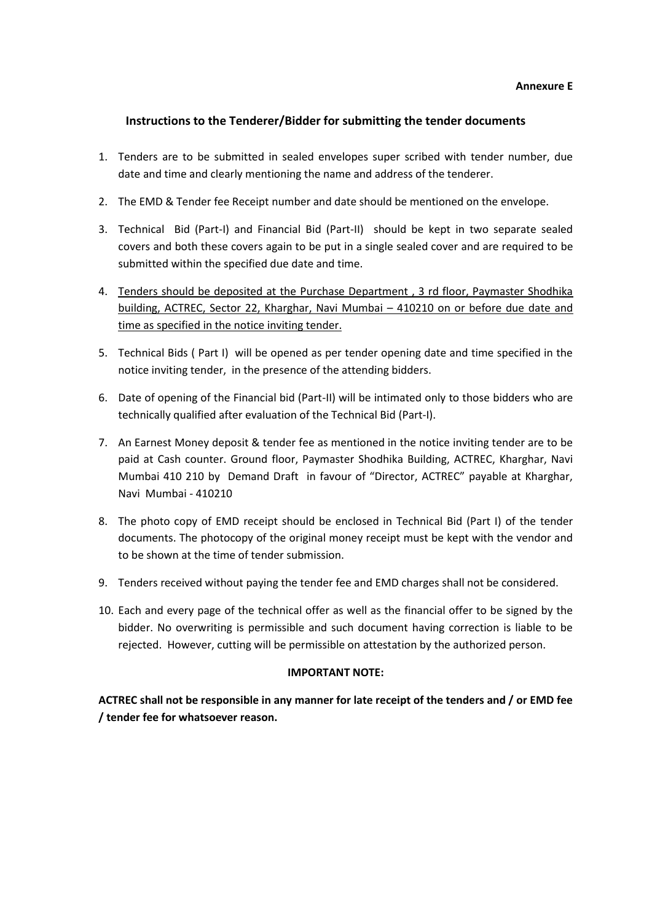## **Instructions to the Tenderer/Bidder for submitting the tender documents**

- 1. Tenders are to be submitted in sealed envelopes super scribed with tender number, due date and time and clearly mentioning the name and address of the tenderer.
- 2. The EMD & Tender fee Receipt number and date should be mentioned on the envelope.
- 3. Technical Bid (Part-I) and Financial Bid (Part-II) should be kept in two separate sealed covers and both these covers again to be put in a single sealed cover and are required to be submitted within the specified due date and time.
- 4. Tenders should be deposited at the Purchase Department , 3 rd floor, Paymaster Shodhika building, ACTREC, Sector 22, Kharghar, Navi Mumbai – 410210 on or before due date and time as specified in the notice inviting tender.
- 5. Technical Bids ( Part I) will be opened as per tender opening date and time specified in the notice inviting tender, in the presence of the attending bidders.
- 6. Date of opening of the Financial bid (Part-II) will be intimated only to those bidders who are technically qualified after evaluation of the Technical Bid (Part-I).
- 7. An Earnest Money deposit & tender fee as mentioned in the notice inviting tender are to be paid at Cash counter. Ground floor, Paymaster Shodhika Building, ACTREC, Kharghar, Navi Mumbai 410 210 by Demand Draft in favour of "Director, ACTREC" payable at Kharghar, Navi Mumbai - 410210
- 8. The photo copy of EMD receipt should be enclosed in Technical Bid (Part I) of the tender documents. The photocopy of the original money receipt must be kept with the vendor and to be shown at the time of tender submission.
- 9. Tenders received without paying the tender fee and EMD charges shall not be considered.
- 10. Each and every page of the technical offer as well as the financial offer to be signed by the bidder. No overwriting is permissible and such document having correction is liable to be rejected. However, cutting will be permissible on attestation by the authorized person.

#### **IMPORTANT NOTE:**

**ACTREC shall not be responsible in any manner for late receipt of the tenders and / or EMD fee / tender fee for whatsoever reason.**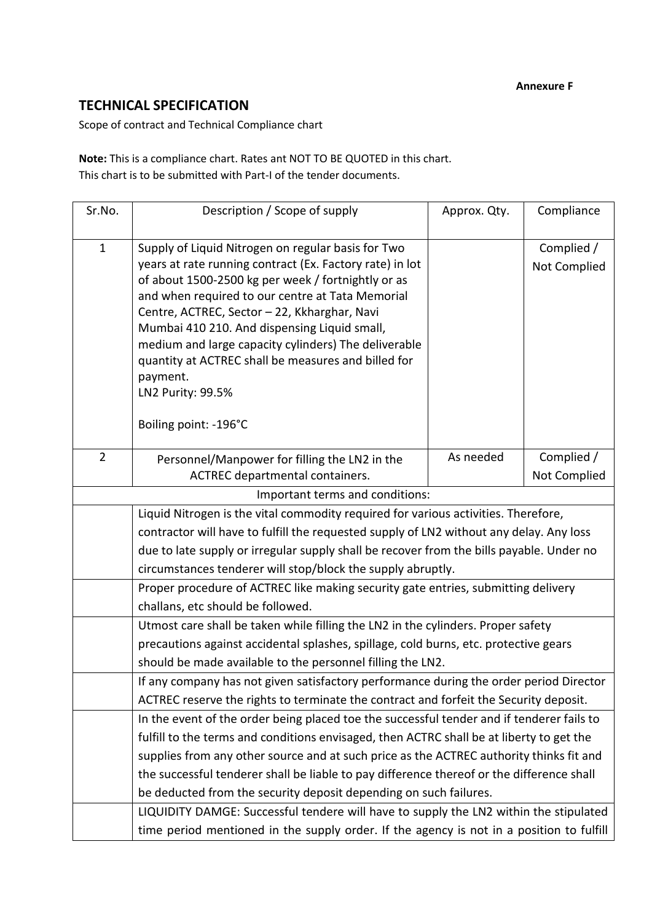## **TECHNICAL SPECIFICATION**

Scope of contract and Technical Compliance chart

**Note:** This is a compliance chart. Rates ant NOT TO BE QUOTED in this chart. This chart is to be submitted with Part-I of the tender documents.

| Sr.No.         | Description / Scope of supply                                                                          | Approx. Qty. | Compliance   |  |  |
|----------------|--------------------------------------------------------------------------------------------------------|--------------|--------------|--|--|
|                |                                                                                                        |              |              |  |  |
| $\mathbf{1}$   | Supply of Liquid Nitrogen on regular basis for Two                                                     |              | Complied /   |  |  |
|                | years at rate running contract (Ex. Factory rate) in lot                                               |              | Not Complied |  |  |
|                | of about 1500-2500 kg per week / fortnightly or as<br>and when required to our centre at Tata Memorial |              |              |  |  |
|                | Centre, ACTREC, Sector - 22, Kkharghar, Navi                                                           |              |              |  |  |
|                | Mumbai 410 210. And dispensing Liquid small,                                                           |              |              |  |  |
|                | medium and large capacity cylinders) The deliverable                                                   |              |              |  |  |
|                | quantity at ACTREC shall be measures and billed for                                                    |              |              |  |  |
|                | payment.                                                                                               |              |              |  |  |
|                | LN2 Purity: 99.5%                                                                                      |              |              |  |  |
|                | Boiling point: -196°C                                                                                  |              |              |  |  |
|                |                                                                                                        |              |              |  |  |
| $\overline{2}$ | Personnel/Manpower for filling the LN2 in the                                                          | As needed    | Complied /   |  |  |
|                | ACTREC departmental containers.                                                                        |              | Not Complied |  |  |
|                | Important terms and conditions:                                                                        |              |              |  |  |
|                | Liquid Nitrogen is the vital commodity required for various activities. Therefore,                     |              |              |  |  |
|                | contractor will have to fulfill the requested supply of LN2 without any delay. Any loss                |              |              |  |  |
|                | due to late supply or irregular supply shall be recover from the bills payable. Under no               |              |              |  |  |
|                | circumstances tenderer will stop/block the supply abruptly.                                            |              |              |  |  |
|                | Proper procedure of ACTREC like making security gate entries, submitting delivery                      |              |              |  |  |
|                | challans, etc should be followed.                                                                      |              |              |  |  |
|                | Utmost care shall be taken while filling the LN2 in the cylinders. Proper safety                       |              |              |  |  |
|                | precautions against accidental splashes, spillage, cold burns, etc. protective gears                   |              |              |  |  |
|                | should be made available to the personnel filling the LN2.                                             |              |              |  |  |
|                | If any company has not given satisfactory performance during the order period Director                 |              |              |  |  |
|                | ACTREC reserve the rights to terminate the contract and forfeit the Security deposit.                  |              |              |  |  |
|                | In the event of the order being placed toe the successful tender and if tenderer fails to              |              |              |  |  |
|                | fulfill to the terms and conditions envisaged, then ACTRC shall be at liberty to get the               |              |              |  |  |
|                | supplies from any other source and at such price as the ACTREC authority thinks fit and                |              |              |  |  |
|                | the successful tenderer shall be liable to pay difference thereof or the difference shall              |              |              |  |  |
|                | be deducted from the security deposit depending on such failures.                                      |              |              |  |  |
|                | LIQUIDITY DAMGE: Successful tendere will have to supply the LN2 within the stipulated                  |              |              |  |  |
|                | time period mentioned in the supply order. If the agency is not in a position to fulfill               |              |              |  |  |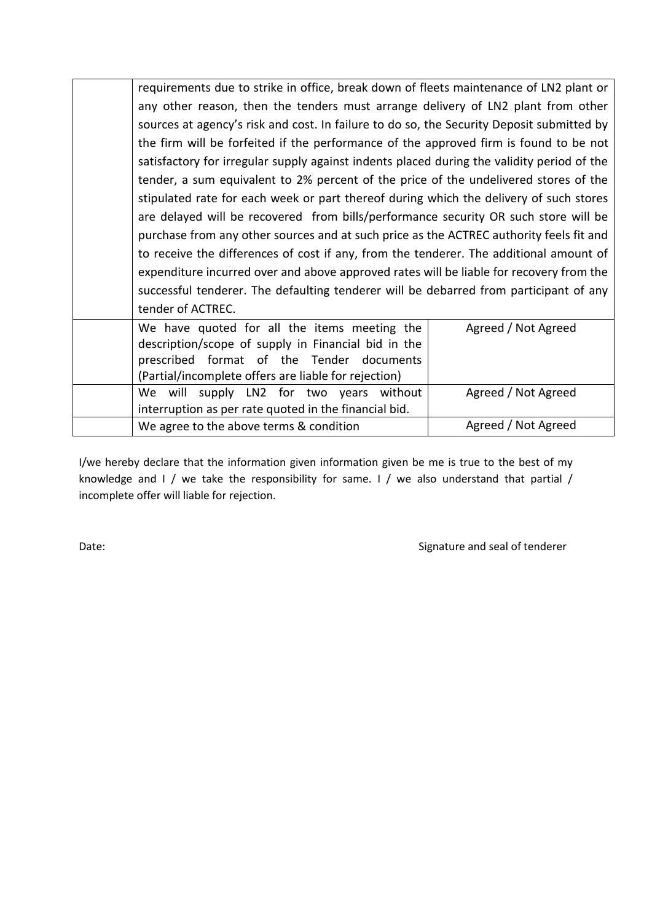| requirements due to strike in office, break down of fleets maintenance of LN2 plant or     |                                                                                         |  |  |
|--------------------------------------------------------------------------------------------|-----------------------------------------------------------------------------------------|--|--|
| any other reason, then the tenders must arrange delivery of LN2 plant from other           |                                                                                         |  |  |
| sources at agency's risk and cost. In failure to do so, the Security Deposit submitted by  |                                                                                         |  |  |
| the firm will be forfeited if the performance of the approved firm is found to be not      |                                                                                         |  |  |
| satisfactory for irregular supply against indents placed during the validity period of the |                                                                                         |  |  |
| tender, a sum equivalent to 2% percent of the price of the undelivered stores of the       |                                                                                         |  |  |
| stipulated rate for each week or part thereof during which the delivery of such stores     |                                                                                         |  |  |
| are delayed will be recovered from bills/performance security OR such store will be        |                                                                                         |  |  |
| purchase from any other sources and at such price as the ACTREC authority feels fit and    |                                                                                         |  |  |
|                                                                                            | to receive the differences of cost if any, from the tenderer. The additional amount of  |  |  |
|                                                                                            | expenditure incurred over and above approved rates will be liable for recovery from the |  |  |
|                                                                                            | successful tenderer. The defaulting tenderer will be debarred from participant of any   |  |  |
| tender of ACTREC.                                                                          |                                                                                         |  |  |
| We have quoted for all the items meeting the                                               | Agreed / Not Agreed                                                                     |  |  |
| description/scope of supply in Financial bid in the                                        |                                                                                         |  |  |
| prescribed format of the Tender documents                                                  |                                                                                         |  |  |
| (Partial/incomplete offers are liable for rejection)                                       |                                                                                         |  |  |
| We will supply LN2 for two years without                                                   | Agreed / Not Agreed                                                                     |  |  |
| interruption as per rate quoted in the financial bid.                                      |                                                                                         |  |  |
| We agree to the above terms & condition                                                    | Agreed / Not Agreed                                                                     |  |  |

I/we hereby declare that the information given information given be me is true to the best of my knowledge and I / we take the responsibility for same. I / we also understand that partial / incomplete offer will liable for rejection.

Date: Case of the Signature and seal of tenderer controller and seal of tenderer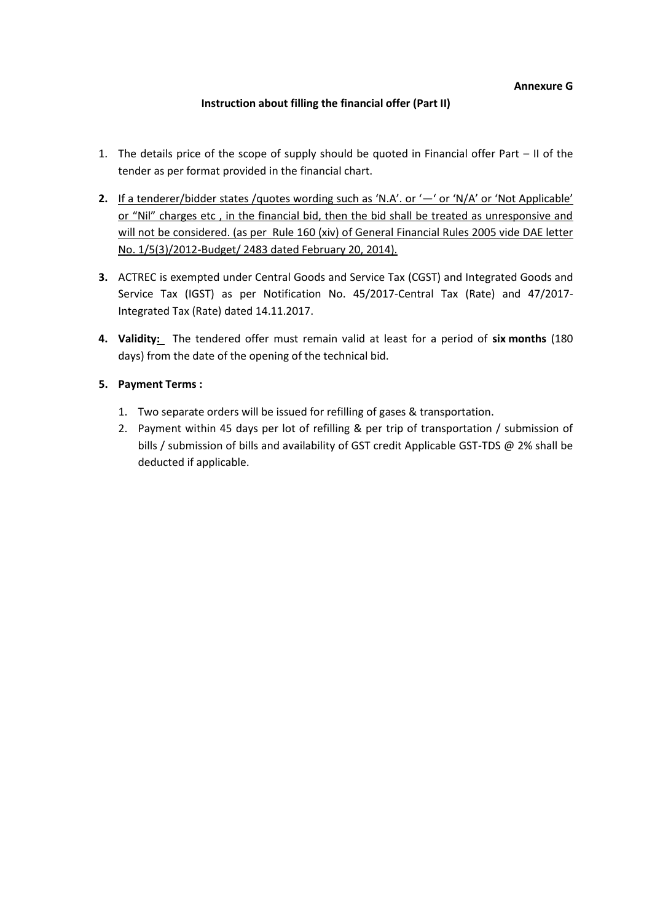## **Instruction about filling the financial offer (Part II)**

- 1. The details price of the scope of supply should be quoted in Financial offer Part II of the tender as per format provided in the financial chart.
- **2.** If a tenderer/bidder states /quotes wording such as 'N.A'. or '—' or 'N/A' or 'Not Applicable' or "Nil" charges etc, in the financial bid, then the bid shall be treated as unresponsive and will not be considered. (as per Rule 160 (xiv) of General Financial Rules 2005 vide DAE letter No. 1/5(3)/2012-Budget/ 2483 dated February 20, 2014).
- **3.** ACTREC is exempted under Central Goods and Service Tax (CGST) and Integrated Goods and Service Tax (IGST) as per Notification No. 45/2017-Central Tax (Rate) and 47/2017- Integrated Tax (Rate) dated 14.11.2017.
- **4. Validity:** The tendered offer must remain valid at least for a period of **six months** (180 days) from the date of the opening of the technical bid.

## **5. Payment Terms :**

- 1. Two separate orders will be issued for refilling of gases & transportation.
- 2. Payment within 45 days per lot of refilling & per trip of transportation / submission of bills / submission of bills and availability of GST credit Applicable GST-TDS @ 2% shall be deducted if applicable.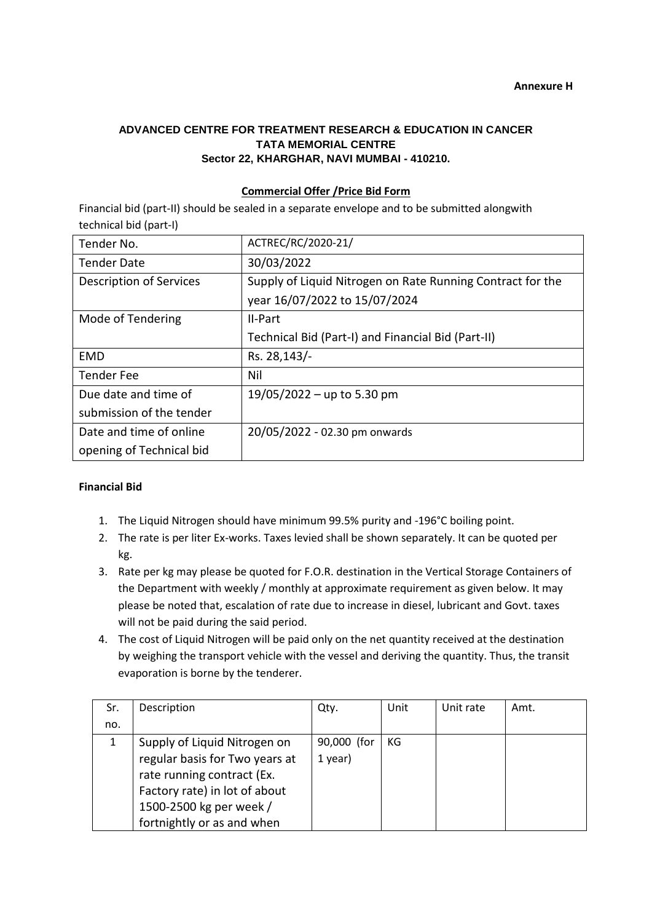## **ADVANCED CENTRE FOR TREATMENT RESEARCH & EDUCATION IN CANCER TATA MEMORIAL CENTRE Sector 22, KHARGHAR, NAVI MUMBAI - 410210.**

## **Commercial Offer /Price Bid Form**

Financial bid (part-II) should be sealed in a separate envelope and to be submitted alongwith technical bid (part-I)

| Tender No.               | ACTREC/RC/2020-21/                                         |
|--------------------------|------------------------------------------------------------|
| <b>Tender Date</b>       | 30/03/2022                                                 |
| Description of Services  | Supply of Liquid Nitrogen on Rate Running Contract for the |
|                          | year 16/07/2022 to 15/07/2024                              |
| Mode of Tendering        | II-Part                                                    |
|                          | Technical Bid (Part-I) and Financial Bid (Part-II)         |
| <b>EMD</b>               | Rs. 28, 143/-                                              |
| <b>Tender Fee</b>        | Nil                                                        |
| Due date and time of     | $19/05/2022 - up to 5.30 pm$                               |
| submission of the tender |                                                            |
| Date and time of online  | 20/05/2022 - 02.30 pm onwards                              |
| opening of Technical bid |                                                            |

## **Financial Bid**

- 1. The Liquid Nitrogen should have minimum 99.5% purity and -196°C boiling point.
- 2. The rate is per liter Ex-works. Taxes levied shall be shown separately. It can be quoted per kg.
- 3. Rate per kg may please be quoted for F.O.R. destination in the Vertical Storage Containers of the Department with weekly / monthly at approximate requirement as given below. It may please be noted that, escalation of rate due to increase in diesel, lubricant and Govt. taxes will not be paid during the said period.
- 4. The cost of Liquid Nitrogen will be paid only on the net quantity received at the destination by weighing the transport vehicle with the vessel and deriving the quantity. Thus, the transit evaporation is borne by the tenderer.

| Sr. | Description                    | Qty.        | Unit | Unit rate | Amt. |
|-----|--------------------------------|-------------|------|-----------|------|
| no. |                                |             |      |           |      |
| 1   | Supply of Liquid Nitrogen on   | 90,000 (for | КG   |           |      |
|     | regular basis for Two years at | $1$ year)   |      |           |      |
|     | rate running contract (Ex.     |             |      |           |      |
|     | Factory rate) in lot of about  |             |      |           |      |
|     | 1500-2500 kg per week /        |             |      |           |      |
|     | fortnightly or as and when     |             |      |           |      |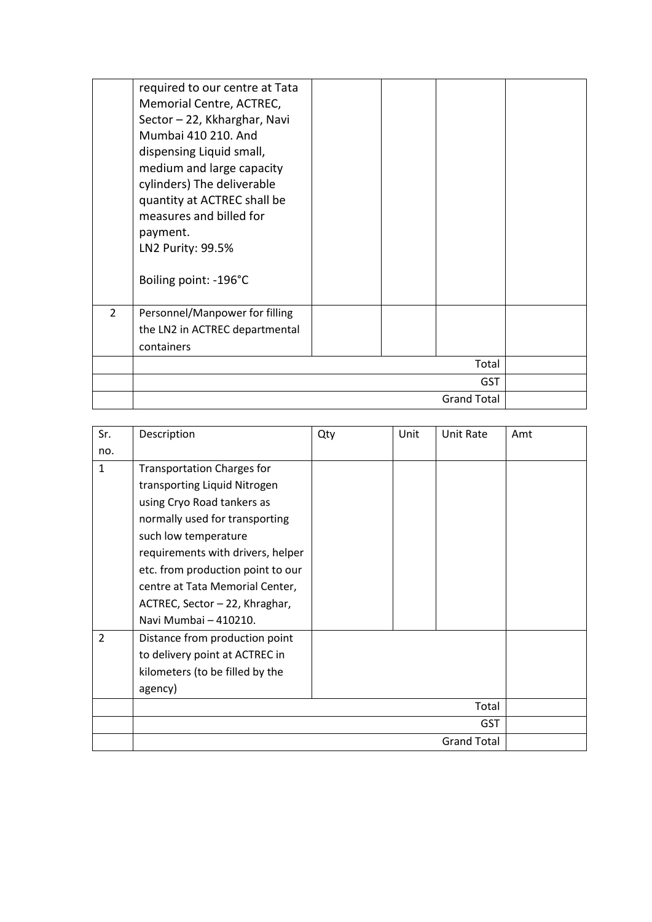|                | required to our centre at Tata<br>Memorial Centre, ACTREC,<br>Sector - 22, Kkharghar, Navi<br>Mumbai 410 210, And<br>dispensing Liquid small,<br>medium and large capacity<br>cylinders) The deliverable<br>quantity at ACTREC shall be<br>measures and billed for<br>payment.<br>LN2 Purity: 99.5%<br>Boiling point: -196°C |  |                    |  |
|----------------|------------------------------------------------------------------------------------------------------------------------------------------------------------------------------------------------------------------------------------------------------------------------------------------------------------------------------|--|--------------------|--|
| $\overline{2}$ | Personnel/Manpower for filling<br>the LN2 in ACTREC departmental<br>containers                                                                                                                                                                                                                                               |  |                    |  |
|                |                                                                                                                                                                                                                                                                                                                              |  | Total              |  |
|                |                                                                                                                                                                                                                                                                                                                              |  | <b>GST</b>         |  |
|                |                                                                                                                                                                                                                                                                                                                              |  | <b>Grand Total</b> |  |

| Sr.            | Description                       | Qty | Unit | Unit Rate          | Amt |
|----------------|-----------------------------------|-----|------|--------------------|-----|
| no.            |                                   |     |      |                    |     |
| $\mathbf{1}$   | <b>Transportation Charges for</b> |     |      |                    |     |
|                | transporting Liquid Nitrogen      |     |      |                    |     |
|                | using Cryo Road tankers as        |     |      |                    |     |
|                | normally used for transporting    |     |      |                    |     |
|                | such low temperature              |     |      |                    |     |
|                | requirements with drivers, helper |     |      |                    |     |
|                | etc. from production point to our |     |      |                    |     |
|                | centre at Tata Memorial Center,   |     |      |                    |     |
|                | ACTREC, Sector - 22, Khraghar,    |     |      |                    |     |
|                | Navi Mumbai - 410210.             |     |      |                    |     |
| $\overline{2}$ | Distance from production point    |     |      |                    |     |
|                | to delivery point at ACTREC in    |     |      |                    |     |
|                | kilometers (to be filled by the   |     |      |                    |     |
|                | agency)                           |     |      |                    |     |
|                |                                   |     |      | Total              |     |
|                |                                   |     |      | <b>GST</b>         |     |
|                |                                   |     |      | <b>Grand Total</b> |     |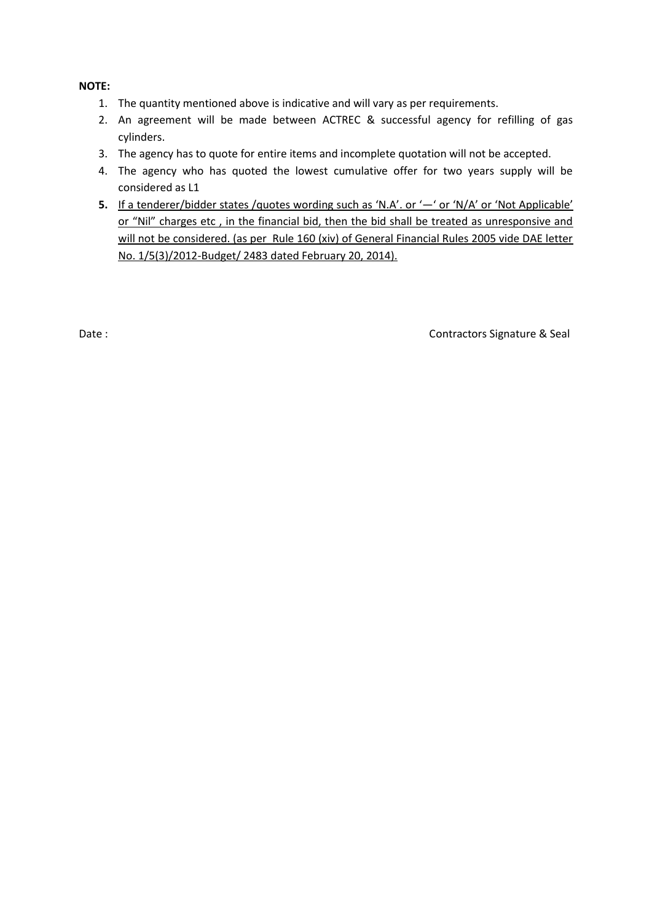## **NOTE:**

- 1. The quantity mentioned above is indicative and will vary as per requirements.
- 2. An agreement will be made between ACTREC & successful agency for refilling of gas cylinders.
- 3. The agency has to quote for entire items and incomplete quotation will not be accepted.
- 4. The agency who has quoted the lowest cumulative offer for two years supply will be considered as L1
- **5.** If a tenderer/bidder states /quotes wording such as 'N.A'. or '—' or 'N/A' or 'Not Applicable' or "Nil" charges etc, in the financial bid, then the bid shall be treated as unresponsive and will not be considered. (as per Rule 160 (xiv) of General Financial Rules 2005 vide DAE letter No. 1/5(3)/2012-Budget/ 2483 dated February 20, 2014).

Date : Contractors Signature & Seal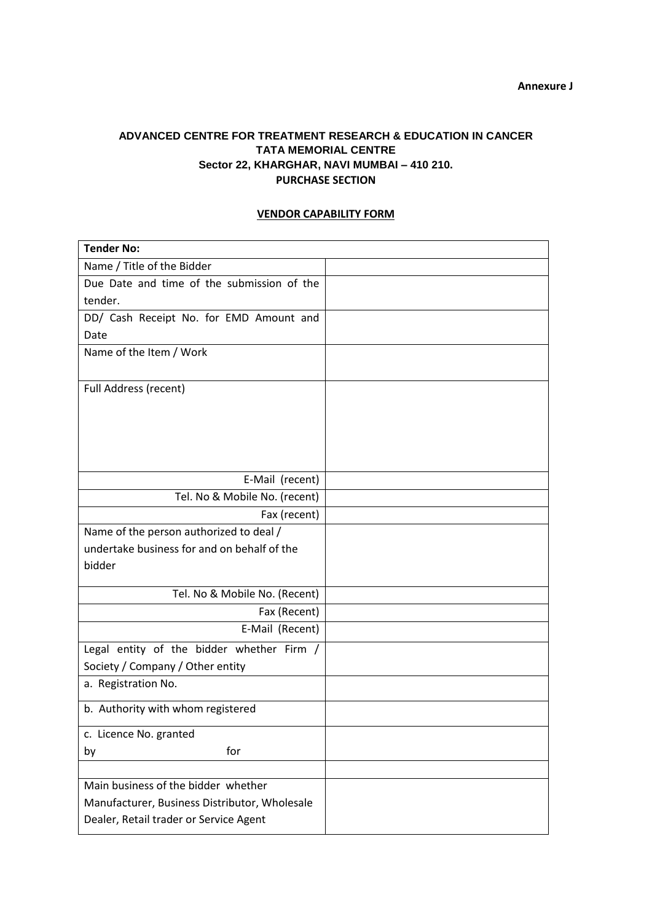## **ADVANCED CENTRE FOR TREATMENT RESEARCH & EDUCATION IN CANCER TATA MEMORIAL CENTRE Sector 22, KHARGHAR, NAVI MUMBAI – 410 210. PURCHASE SECTION**

## **VENDOR CAPABILITY FORM**

| <b>Tender No:</b>                                                                      |  |
|----------------------------------------------------------------------------------------|--|
| Name / Title of the Bidder                                                             |  |
| Due Date and time of the submission of the                                             |  |
| tender.                                                                                |  |
| DD/ Cash Receipt No. for EMD Amount and                                                |  |
| Date                                                                                   |  |
| Name of the Item / Work                                                                |  |
|                                                                                        |  |
| Full Address (recent)                                                                  |  |
|                                                                                        |  |
|                                                                                        |  |
|                                                                                        |  |
|                                                                                        |  |
| E-Mail (recent)                                                                        |  |
| Tel. No & Mobile No. (recent)                                                          |  |
|                                                                                        |  |
| Fax (recent)                                                                           |  |
| Name of the person authorized to deal /<br>undertake business for and on behalf of the |  |
|                                                                                        |  |
| bidder                                                                                 |  |
| Tel. No & Mobile No. (Recent)                                                          |  |
| Fax (Recent)                                                                           |  |
| E-Mail (Recent)                                                                        |  |
| Legal entity of the bidder whether Firm /                                              |  |
| Society / Company / Other entity                                                       |  |
| a. Registration No.                                                                    |  |
|                                                                                        |  |
| b. Authority with whom registered                                                      |  |
| c. Licence No. granted                                                                 |  |
| for<br>by                                                                              |  |
|                                                                                        |  |
| Main business of the bidder whether                                                    |  |
| Manufacturer, Business Distributor, Wholesale                                          |  |
| Dealer, Retail trader or Service Agent                                                 |  |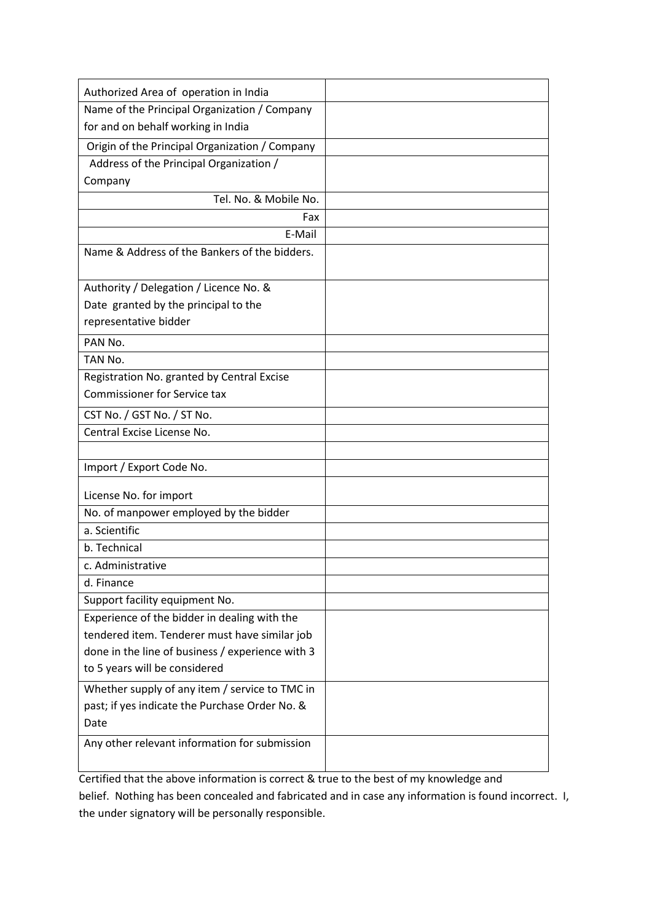| Authorized Area of operation in India            |  |
|--------------------------------------------------|--|
| Name of the Principal Organization / Company     |  |
| for and on behalf working in India               |  |
| Origin of the Principal Organization / Company   |  |
| Address of the Principal Organization /          |  |
| Company                                          |  |
| Tel. No. & Mobile No.                            |  |
| Fax                                              |  |
| E-Mail                                           |  |
| Name & Address of the Bankers of the bidders.    |  |
| Authority / Delegation / Licence No. &           |  |
| Date granted by the principal to the             |  |
| representative bidder                            |  |
| PAN No.                                          |  |
| TAN No.                                          |  |
| Registration No. granted by Central Excise       |  |
| <b>Commissioner for Service tax</b>              |  |
| CST No. / GST No. / ST No.                       |  |
| Central Excise License No.                       |  |
|                                                  |  |
| Import / Export Code No.                         |  |
| License No. for import                           |  |
| No. of manpower employed by the bidder           |  |
| a. Scientific                                    |  |
| b. Technical                                     |  |
| c. Administrative                                |  |
| d. Finance                                       |  |
| Support facility equipment No.                   |  |
| Experience of the bidder in dealing with the     |  |
| tendered item. Tenderer must have similar job    |  |
| done in the line of business / experience with 3 |  |
| to 5 years will be considered                    |  |
| Whether supply of any item / service to TMC in   |  |
| past; if yes indicate the Purchase Order No. &   |  |
| Date                                             |  |
| Any other relevant information for submission    |  |
|                                                  |  |

Certified that the above information is correct & true to the best of my knowledge and belief. Nothing has been concealed and fabricated and in case any information is found incorrect. I, the under signatory will be personally responsible.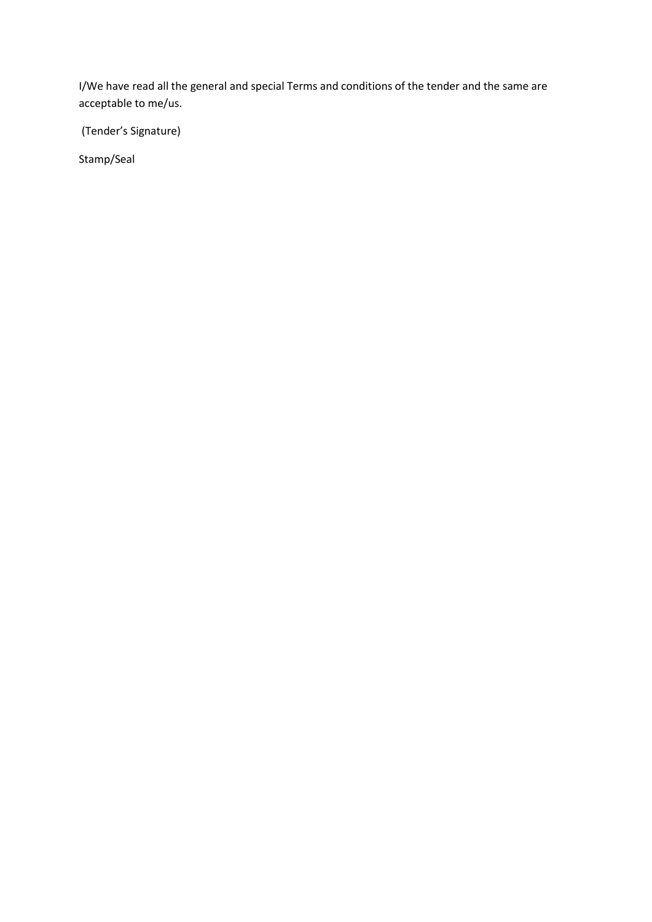I/We have read all the general and special Terms and conditions of the tender and the same are acceptable to me/us.

(Tender's Signature)

Stamp/Seal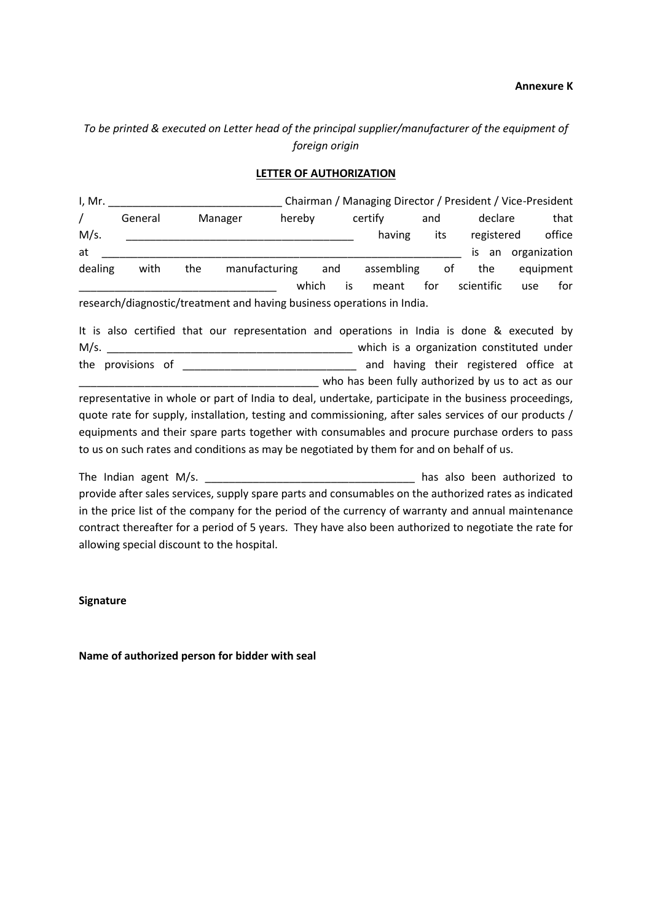## *To be printed & executed on Letter head of the principal supplier/manufacturer of the equipment of foreign origin*

## **LETTER OF AUTHORIZATION**

I, Mr. \_\_\_\_\_\_\_\_\_\_\_\_\_\_\_\_\_\_\_\_\_\_\_\_\_\_\_\_\_ Chairman / Managing Director / President / Vice-President / General Manager hereby certify and declare that M/s. \_\_\_\_\_\_\_\_\_\_\_\_\_\_\_\_\_\_\_\_\_\_\_\_\_\_\_\_\_\_\_\_\_\_\_\_\_\_ having its registered office at \_\_\_\_\_\_\_\_\_\_\_\_\_\_\_\_\_\_\_\_\_\_\_\_\_\_\_\_\_\_\_\_\_\_\_\_\_\_\_\_\_\_\_\_\_\_\_\_\_\_\_\_\_\_\_\_\_\_\_\_ is an organization dealing with the manufacturing and assembling of the equipment \_\_\_\_\_\_\_\_\_\_\_\_\_\_\_\_\_\_\_\_\_\_\_\_\_\_\_\_\_\_\_\_\_ which is meant for scientific use for research/diagnostic/treatment and having business operations in India.

It is also certified that our representation and operations in India is done & executed by M/s. \_\_\_\_\_\_\_\_\_\_\_\_\_\_\_\_\_\_\_\_\_\_\_\_\_\_\_\_\_\_\_\_\_\_\_\_\_\_\_\_\_ which is a organization constituted under the provisions of \_\_\_\_\_\_\_\_\_\_\_\_\_\_\_\_\_\_\_\_\_\_\_\_\_\_\_\_\_ and having their registered office at \_\_\_\_\_\_\_\_\_\_\_\_\_\_\_\_\_\_\_\_\_\_\_\_\_\_\_\_\_\_\_\_\_\_\_\_\_\_\_\_ who has been fully authorized by us to act as our representative in whole or part of India to deal, undertake, participate in the business proceedings,

quote rate for supply, installation, testing and commissioning, after sales services of our products / equipments and their spare parts together with consumables and procure purchase orders to pass to us on such rates and conditions as may be negotiated by them for and on behalf of us.

The Indian agent M/s. \_\_\_\_\_\_\_\_\_\_\_\_\_\_\_\_\_\_\_\_\_\_\_\_\_\_\_\_\_\_\_\_\_ has also been authorized to provide after sales services, supply spare parts and consumables on the authorized rates as indicated in the price list of the company for the period of the currency of warranty and annual maintenance contract thereafter for a period of 5 years. They have also been authorized to negotiate the rate for allowing special discount to the hospital.

**Signature**

**Name of authorized person for bidder with seal**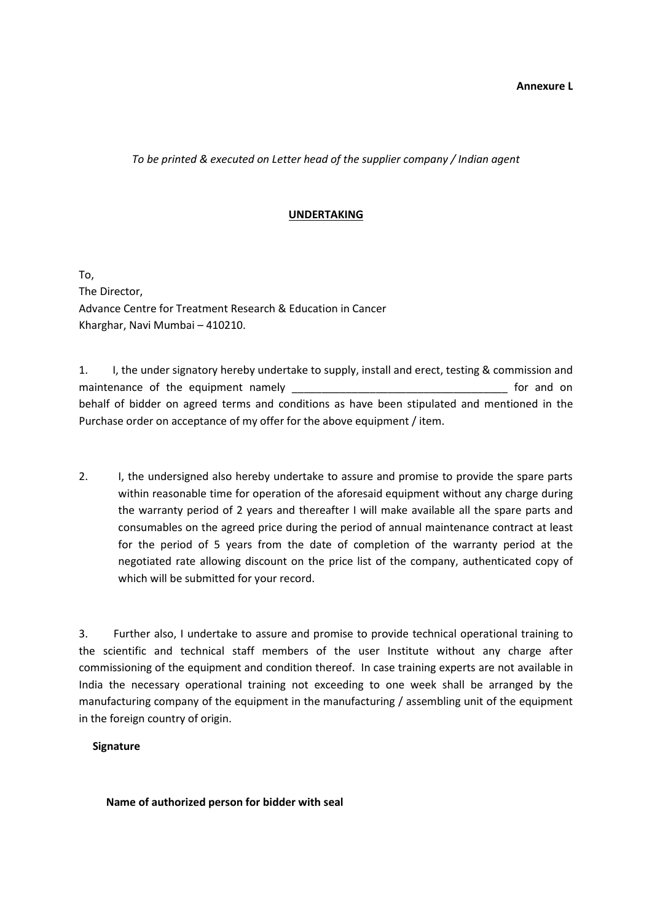*To be printed & executed on Letter head of the supplier company / Indian agent*

#### **UNDERTAKING**

To, The Director, Advance Centre for Treatment Research & Education in Cancer Kharghar, Navi Mumbai – 410210.

1. I, the under signatory hereby undertake to supply, install and erect, testing & commission and maintenance of the equipment namely **the set of the equipment namely** the set of the set of and on behalf of bidder on agreed terms and conditions as have been stipulated and mentioned in the Purchase order on acceptance of my offer for the above equipment / item.

2. I, the undersigned also hereby undertake to assure and promise to provide the spare parts within reasonable time for operation of the aforesaid equipment without any charge during the warranty period of 2 years and thereafter I will make available all the spare parts and consumables on the agreed price during the period of annual maintenance contract at least for the period of 5 years from the date of completion of the warranty period at the negotiated rate allowing discount on the price list of the company, authenticated copy of which will be submitted for your record.

3. Further also, I undertake to assure and promise to provide technical operational training to the scientific and technical staff members of the user Institute without any charge after commissioning of the equipment and condition thereof. In case training experts are not available in India the necessary operational training not exceeding to one week shall be arranged by the manufacturing company of the equipment in the manufacturing / assembling unit of the equipment in the foreign country of origin.

#### **Signature**

#### **Name of authorized person for bidder with seal**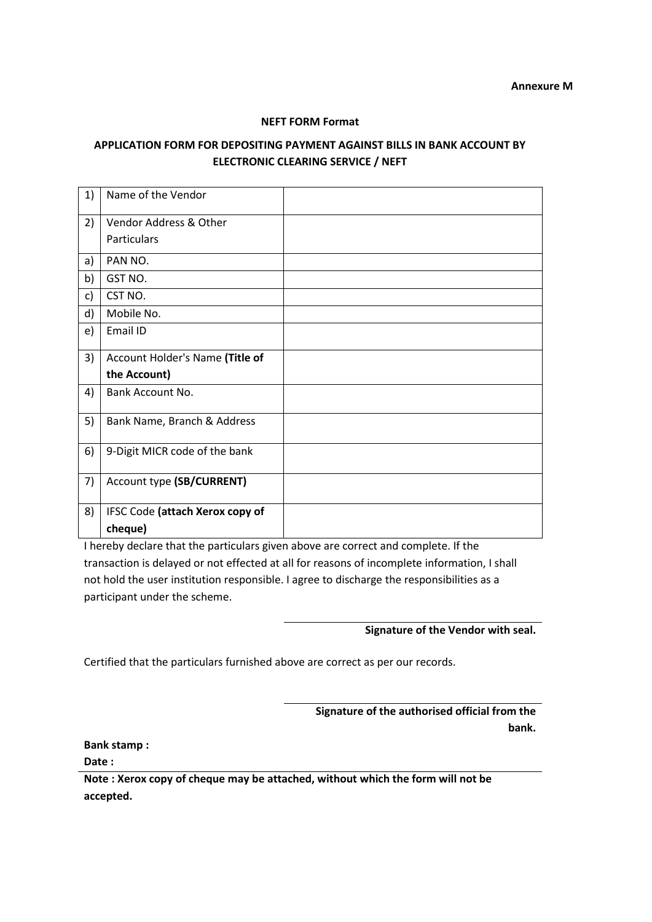#### **NEFT FORM Format**

## **APPLICATION FORM FOR DEPOSITING PAYMENT AGAINST BILLS IN BANK ACCOUNT BY ELECTRONIC CLEARING SERVICE / NEFT**

| 1) | Name of the Vendor              |  |
|----|---------------------------------|--|
| 2) | Vendor Address & Other          |  |
|    | <b>Particulars</b>              |  |
| a) | PAN NO.                         |  |
| b) | GST NO.                         |  |
| c) | CST NO.                         |  |
| d) | Mobile No.                      |  |
| e) | Email ID                        |  |
| 3) | Account Holder's Name (Title of |  |
|    | the Account)                    |  |
| 4) | Bank Account No.                |  |
| 5) | Bank Name, Branch & Address     |  |
| 6) | 9-Digit MICR code of the bank   |  |
| 7) | Account type (SB/CURRENT)       |  |
| 8) | IFSC Code (attach Xerox copy of |  |
|    | cheque)                         |  |

I hereby declare that the particulars given above are correct and complete. If the transaction is delayed or not effected at all for reasons of incomplete information, I shall not hold the user institution responsible. I agree to discharge the responsibilities as a participant under the scheme.

**Signature of the Vendor with seal.**

Certified that the particulars furnished above are correct as per our records.

**Signature of the authorised official from the bank.**

**Bank stamp :**

**Date :**

**Note : Xerox copy of cheque may be attached, without which the form will not be accepted.**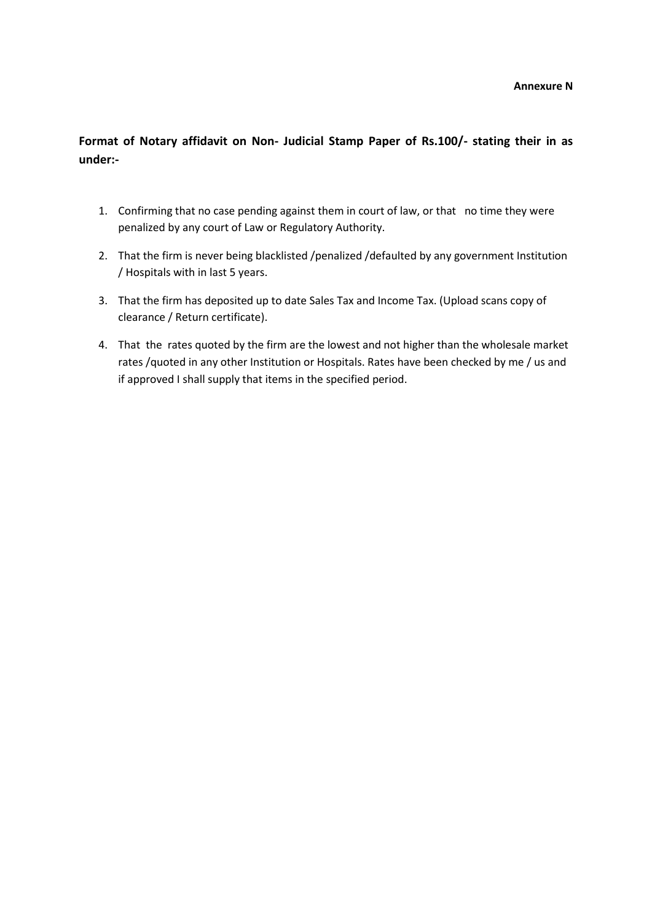**Format of Notary affidavit on Non- Judicial Stamp Paper of Rs.100/- stating their in as under:-**

- 1. Confirming that no case pending against them in court of law, or that no time they were penalized by any court of Law or Regulatory Authority.
- 2. That the firm is never being blacklisted /penalized /defaulted by any government Institution / Hospitals with in last 5 years.
- 3. That the firm has deposited up to date Sales Tax and Income Tax. (Upload scans copy of clearance / Return certificate).
- 4. That the rates quoted by the firm are the lowest and not higher than the wholesale market rates /quoted in any other Institution or Hospitals. Rates have been checked by me / us and if approved I shall supply that items in the specified period.